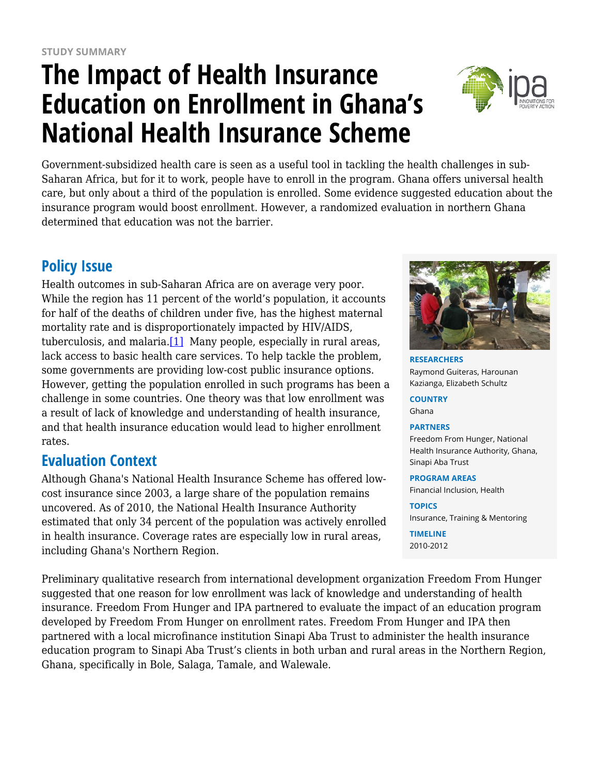# **The Impact of Health Insurance Education on Enrollment in Ghana's National Health Insurance Scheme**



Government-subsidized health care is seen as a useful tool in tackling the health challenges in sub-Saharan Africa, but for it to work, people have to enroll in the program. Ghana offers universal health care, but only about a third of the population is enrolled. Some evidence suggested education about the insurance program would boost enrollment. However, a randomized evaluation in northern Ghana determined that education was not the barrier.

## **Policy Issue**

Health outcomes in sub-Saharan Africa are on average very poor. While the region has 11 percent of the world's population, it accounts for half of the deaths of children under five, has the highest maternal mortality rate and is disproportionately impacted by HIV/AIDS, tuberculosis, and malaria. $[1]$  Many people, especially in rural areas, lack access to basic health care services. To help tackle the problem, some governments are providing low-cost public insurance options. However, getting the population enrolled in such programs has been a challenge in some countries. One theory was that low enrollment was a result of lack of knowledge and understanding of health insurance, and that health insurance education would lead to higher enrollment rates.

## **Evaluation Context**

Although Ghana's National Health Insurance Scheme has offered lowcost insurance since 2003, a large share of the population remains uncovered. As of 2010, the National Health Insurance Authority estimated that only 34 percent of the population was actively enrolled in health insurance. Coverage rates are especially low in rural areas, including Ghana's Northern Region.

Preliminary qualitative research from international development organization Freedom From Hunger suggested that one reason for low enrollment was lack of knowledge and understanding of health insurance. Freedom From Hunger and IPA partnered to evaluate the impact of an education program developed by Freedom From Hunger on enrollment rates. Freedom From Hunger and IPA then partnered with a local microfinance institution Sinapi Aba Trust to administer the health insurance education program to Sinapi Aba Trust's clients in both urban and rural areas in the Northern Region, Ghana, specifically in Bole, Salaga, Tamale, and Walewale.



**RESEARCHERS** Raymond Guiteras, Harounan Kazianga, Elizabeth Schultz

**COUNTRY** Ghana

#### **PARTNERS**

Freedom From Hunger, National Health Insurance Authority, Ghana, Sinapi Aba Trust

#### **PROGRAM AREAS**

Financial Inclusion, Health

**TOPICS** Insurance, Training & Mentoring

**TIMELINE** 2010-2012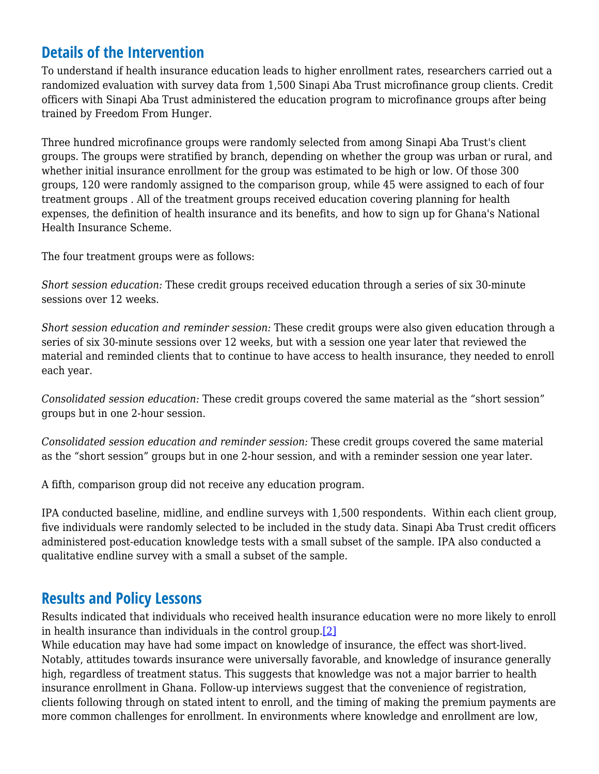## **Details of the Intervention**

To understand if health insurance education leads to higher enrollment rates, researchers carried out a randomized evaluation with survey data from 1,500 Sinapi Aba Trust microfinance group clients. Credit officers with Sinapi Aba Trust administered the education program to microfinance groups after being trained by Freedom From Hunger.

Three hundred microfinance groups were randomly selected from among Sinapi Aba Trust's client groups. The groups were stratified by branch, depending on whether the group was urban or rural, and whether initial insurance enrollment for the group was estimated to be high or low. Of those 300 groups, 120 were randomly assigned to the comparison group, while 45 were assigned to each of four treatment groups . All of the treatment groups received education covering planning for health expenses, the definition of health insurance and its benefits, and how to sign up for Ghana's National Health Insurance Scheme.

The four treatment groups were as follows:

*Short session education:* These credit groups received education through a series of six 30-minute sessions over 12 weeks.

*Short session education and reminder session:* These credit groups were also given education through a series of six 30-minute sessions over 12 weeks, but with a session one year later that reviewed the material and reminded clients that to continue to have access to health insurance, they needed to enroll each year.

*Consolidated session education:* These credit groups covered the same material as the "short session" groups but in one 2-hour session.

*Consolidated session education and reminder session:* These credit groups covered the same material as the "short session" groups but in one 2-hour session, and with a reminder session one year later.

A fifth, comparison group did not receive any education program.

IPA conducted baseline, midline, and endline surveys with 1,500 respondents. Within each client group, five individuals were randomly selected to be included in the study data. Sinapi Aba Trust credit officers administered post-education knowledge tests with a small subset of the sample. IPA also conducted a qualitative endline survey with a small a subset of the sample.

## **Results and Policy Lessons**

Results indicated that individuals who received health insurance education were no more likely to enroll in health insurance than individuals in the control group.[\[2\]](https://www.poverty-action.org/printpdf/7151#_msocom_1)

While education may have had some impact on knowledge of insurance, the effect was short-lived. Notably, attitudes towards insurance were universally favorable, and knowledge of insurance generally high, regardless of treatment status. This suggests that knowledge was not a major barrier to health insurance enrollment in Ghana. Follow-up interviews suggest that the convenience of registration, clients following through on stated intent to enroll, and the timing of making the premium payments are more common challenges for enrollment. In environments where knowledge and enrollment are low,